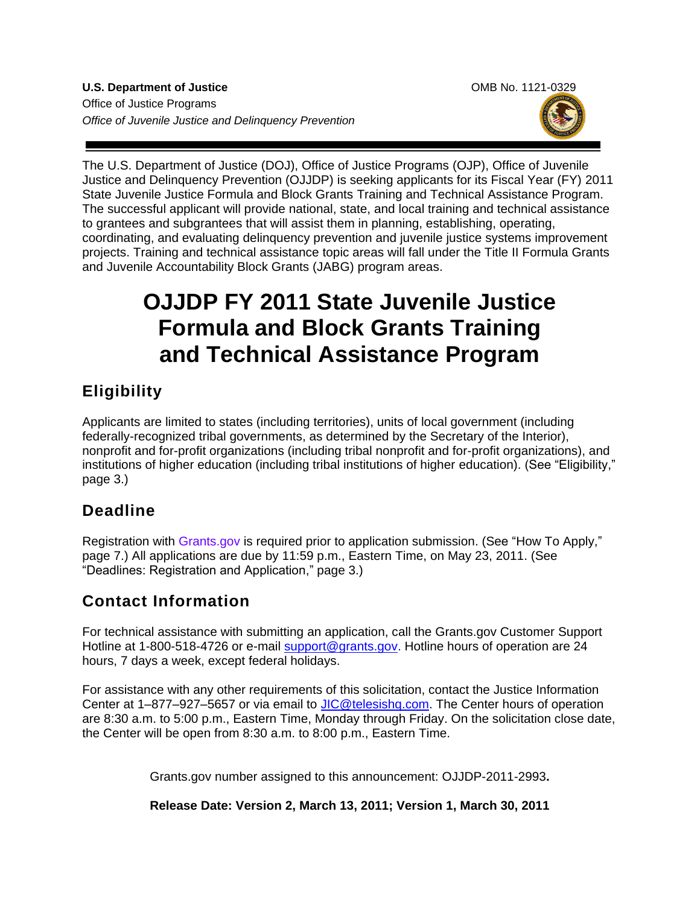**U.S. Department of Justice Combine Accord Combine Combine Combine Combine OMB No. 1121-0329** Office of Justice Programs *Office of Juvenile Justice and Delinquency Prevention*



The [U.S. Department of Justice](http://www.usdoj.gov/) (DOJ), [Office of Justice Programs](http://www.ojp.gov/flash.htm) (OJP), Office of Juvenile Justice and Delinquency Prevention (OJJDP) is seeking applicants for its Fiscal Year (FY) 2011 State Juvenile Justice Formula and Block Grants Training and Technical Assistance Program. The successful applicant will provide national, state, and local training and technical assistance to grantees and subgrantees that will assist them in planning, establishing, operating, coordinating, and evaluating delinquency prevention and juvenile justice systems improvement projects. Training and technical assistance topic areas will fall under the Title II Formula Grants and Juvenile Accountability Block Grants (JABG) program areas.

# **OJJDP FY 2011 State Juvenile Justice Formula and Block Grants Training and Technical Assistance Program**

# **Eligibility**

Applicants are limited to states (including territories), units of local government (including federally-recognized tribal governments, as determined by the Secretary of the Interior), nonprofit and for-profit organizations (including tribal nonprofit and for-profit organizations), and institutions of higher education (including tribal institutions of higher education). (See "Eligibility," page 3.)

# **Deadline**

Registration with [Grants.gov](http://www.grants.gov/applicants/apply_for_grants.jsp) is required prior to application submission. (See "How To Apply," page 7.) All applications are due by 11:59 p.m., Eastern Time, on May 23, 2011. (See "Deadlines: Registration and Application," page 3.)

# **Contact Information**

For technical assistance with submitting an application, call the Grants.gov Customer Support Hotline at 1-800-518-4726 or e-mail [support@grants.gov.](mailto:support@grants.gov) Hotline hours of operation are 24 hours, 7 days a week, except federal holidays.

For assistance with any other requirements of this solicitation, contact the Justice Information Center at 1–877–927–5657 or via email to [JIC@telesishq.com.](mailto:JIC@telesishq.com) The Center hours of operation are 8:30 a.m. to 5:00 p.m., Eastern Time, Monday through Friday. On the solicitation close date, the Center will be open from 8:30 a.m. to 8:00 p.m., Eastern Time.

Grants.gov number assigned to this announcement: OJJDP-2011-2993**.**

**Release Date: Version 2, March 13, 2011; Version 1, March 30, 2011**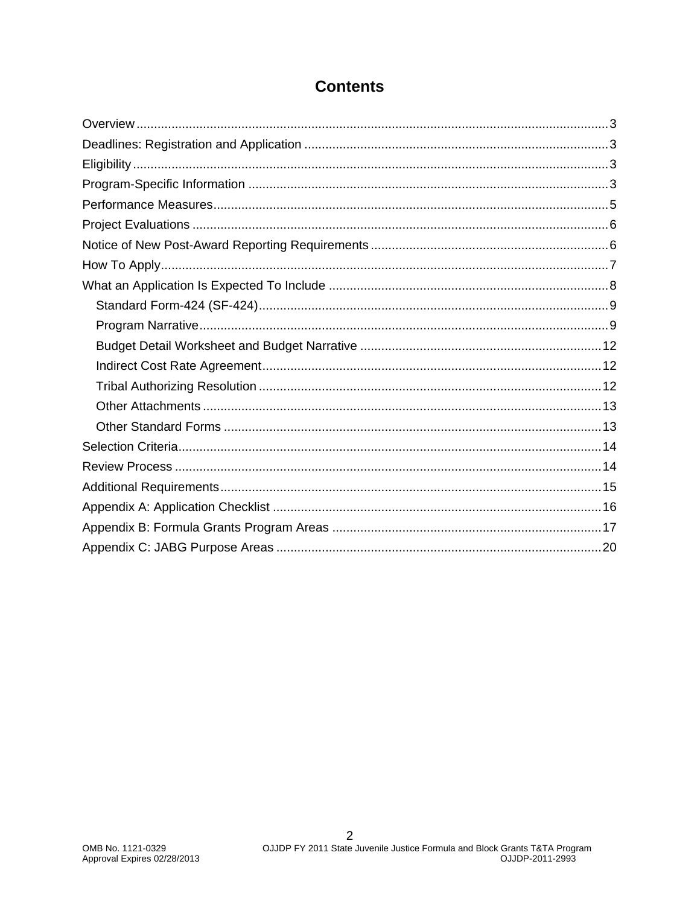### **Contents**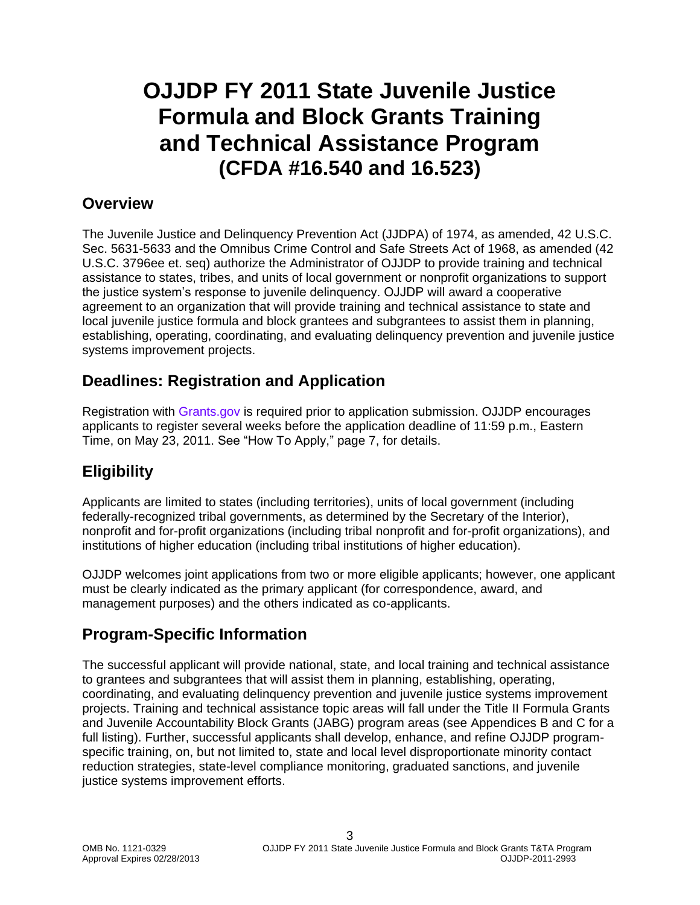# **OJJDP FY 2011 State Juvenile Justice Formula and Block Grants Training and Technical Assistance Program (CFDA #16.540 and 16.523)**

### <span id="page-2-0"></span>**Overview**

The Juvenile Justice and Delinquency Prevention Act (JJDPA) of 1974, as amended, 42 U.S.C. Sec. 5631-5633 and the Omnibus Crime Control and Safe Streets Act of 1968, as amended (42 U.S.C. 3796ee et. seq) authorize the Administrator of OJJDP to provide training and technical assistance to states, tribes, and units of local government or nonprofit organizations to support the justice system's response to juvenile delinquency. OJJDP will award a cooperative agreement to an organization that will provide training and technical assistance to state and local juvenile justice formula and block grantees and subgrantees to assist them in planning, establishing, operating, coordinating, and evaluating delinquency prevention and juvenile justice systems improvement projects.

### <span id="page-2-1"></span>**Deadlines: Registration and Application**

Registration with [Grants.gov](http://www.grants.gov/applicants/apply_for_grants.jsp) is required prior to application submission. OJJDP encourages applicants to register several weeks before the application deadline of 11:59 p.m., Eastern Time, on May 23, 2011. See "How To Apply," page 7, for details.

# <span id="page-2-2"></span>**Eligibility**

Applicants are limited to states (including territories), units of local government (including federally-recognized tribal governments, as determined by the Secretary of the Interior), nonprofit and for-profit organizations (including tribal nonprofit and for-profit organizations), and institutions of higher education (including tribal institutions of higher education).

OJJDP welcomes joint applications from two or more eligible applicants; however, one applicant must be clearly indicated as the primary applicant (for correspondence, award, and management purposes) and the others indicated as co-applicants.

# <span id="page-2-3"></span>**Program-Specific Information**

The successful applicant will provide national, state, and local training and technical assistance to grantees and subgrantees that will assist them in planning, establishing, operating, coordinating, and evaluating delinquency prevention and juvenile justice systems improvement projects. Training and technical assistance topic areas will fall under the Title II Formula Grants and Juvenile Accountability Block Grants (JABG) program areas (see Appendices B and C for a full listing). Further, successful applicants shall develop, enhance, and refine OJJDP programspecific training, on, but not limited to, state and local level disproportionate minority contact reduction strategies, state-level compliance monitoring, graduated sanctions, and juvenile justice systems improvement efforts.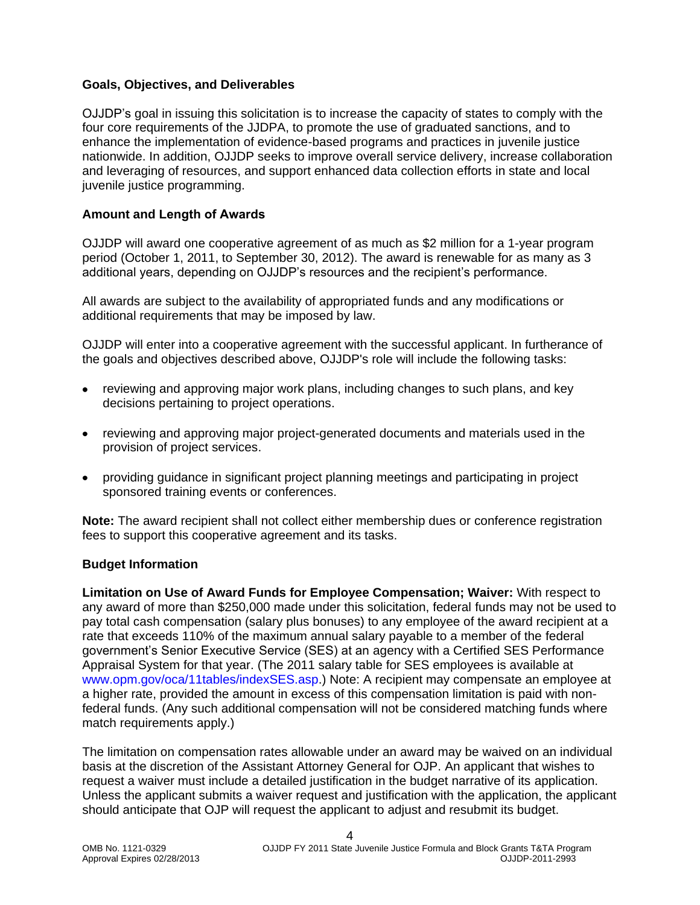#### **Goals, Objectives, and Deliverables**

OJJDP's goal in issuing this solicitation is to increase the capacity of states to comply with the four core requirements of the JJDPA, to promote the use of graduated sanctions, and to enhance the implementation of evidence-based programs and practices in juvenile justice nationwide. In addition, OJJDP seeks to improve overall service delivery, increase collaboration and leveraging of resources, and support enhanced data collection efforts in state and local juvenile justice programming.

#### **Amount and Length of Awards**

OJJDP will award one cooperative agreement of as much as \$2 million for a 1-year program period (October 1, 2011, to September 30, 2012). The award is renewable for as many as 3 additional years, depending on OJJDP's resources and the recipient's performance.

All awards are subject to the availability of appropriated funds and any modifications or additional requirements that may be imposed by law.

OJJDP will enter into a cooperative agreement with the successful applicant. In furtherance of the goals and objectives described above, OJJDP's role will include the following tasks:

- reviewing and approving major work plans, including changes to such plans, and key decisions pertaining to project operations.
- reviewing and approving major project-generated documents and materials used in the provision of project services.
- providing guidance in significant project planning meetings and participating in project sponsored training events or conferences.

**Note:** The award recipient shall not collect either membership dues or conference registration fees to support this cooperative agreement and its tasks.

#### **Budget Information**

**Limitation on Use of Award Funds for Employee Compensation; Waiver:** With respect to any award of more than \$250,000 made under this solicitation, federal funds may not be used to pay total cash compensation (salary plus bonuses) to any employee of the award recipient at a rate that exceeds 110% of the maximum annual salary payable to a member of the federal government's Senior Executive Service (SES) at an agency with a Certified SES Performance Appraisal System for that year. (The 2011 salary table for SES employees is available at [www.opm.gov/oca/11tables/indexSES.asp.](http://www.opm.gov/oca/11tables/indexSES.asp)) Note: A recipient may compensate an employee at a higher rate, provided the amount in excess of this compensation limitation is paid with nonfederal funds. (Any such additional compensation will not be considered matching funds where match requirements apply.)

The limitation on compensation rates allowable under an award may be waived on an individual basis at the discretion of the Assistant Attorney General for OJP. An applicant that wishes to request a waiver must include a detailed justification in the budget narrative of its application. Unless the applicant submits a waiver request and justification with the application, the applicant should anticipate that OJP will request the applicant to adjust and resubmit its budget.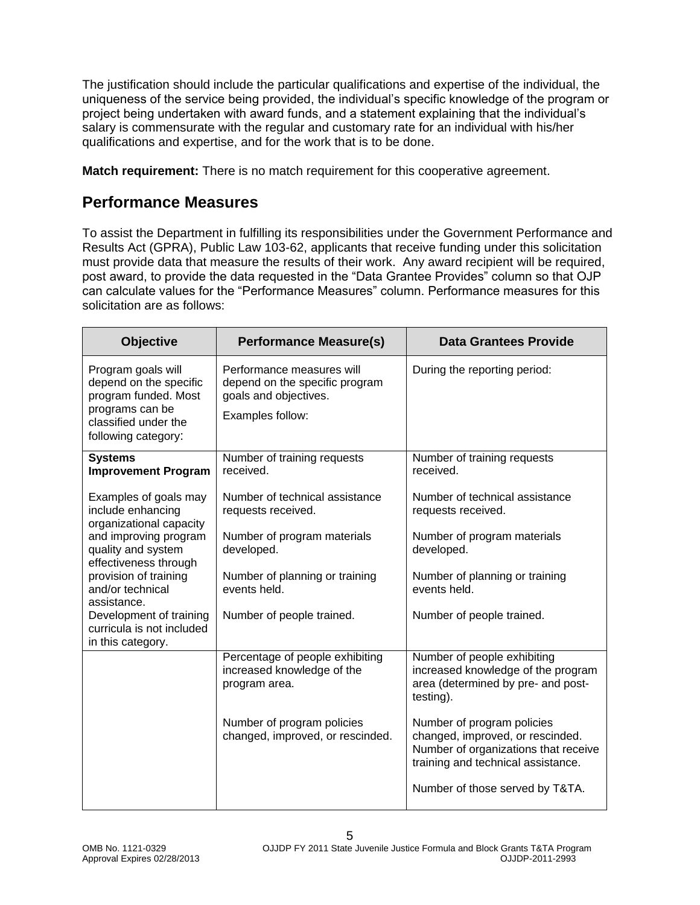The justification should include the particular qualifications and expertise of the individual, the uniqueness of the service being provided, the individual's specific knowledge of the program or project being undertaken with award funds, and a statement explaining that the individual's salary is commensurate with the regular and customary rate for an individual with his/her qualifications and expertise, and for the work that is to be done.

**Match requirement:** There is no match requirement for this cooperative agreement.

### <span id="page-4-0"></span>**Performance Measures**

To assist the Department in fulfilling its responsibilities under the Government Performance and Results Act (GPRA), Public Law 103-62, applicants that receive funding under this solicitation must provide data that measure the results of their work. Any award recipient will be required, post award, to provide the data requested in the "Data Grantee Provides" column so that OJP can calculate values for the "Performance Measures" column. Performance measures for this solicitation are as follows:

| <b>Objective</b>                                                                                                                              | <b>Performance Measure(s)</b>                                                                            | <b>Data Grantees Provide</b>                                                                                                                 |
|-----------------------------------------------------------------------------------------------------------------------------------------------|----------------------------------------------------------------------------------------------------------|----------------------------------------------------------------------------------------------------------------------------------------------|
| Program goals will<br>depend on the specific<br>program funded. Most<br>programs can be<br>classified under the<br>following category:        | Performance measures will<br>depend on the specific program<br>goals and objectives.<br>Examples follow: | During the reporting period:                                                                                                                 |
| <b>Systems</b><br><b>Improvement Program</b>                                                                                                  | Number of training requests<br>received.                                                                 | Number of training requests<br>received.                                                                                                     |
| Examples of goals may<br>include enhancing<br>organizational capacity<br>and improving program<br>quality and system<br>effectiveness through | Number of technical assistance<br>requests received.                                                     | Number of technical assistance<br>requests received.                                                                                         |
|                                                                                                                                               | Number of program materials<br>developed.                                                                | Number of program materials<br>developed.                                                                                                    |
| provision of training<br>and/or technical<br>assistance.                                                                                      | Number of planning or training<br>events held.                                                           | Number of planning or training<br>events held.                                                                                               |
| Development of training<br>curricula is not included<br>in this category.                                                                     | Number of people trained.                                                                                | Number of people trained.                                                                                                                    |
|                                                                                                                                               | Percentage of people exhibiting<br>increased knowledge of the<br>program area.                           | Number of people exhibiting<br>increased knowledge of the program<br>area (determined by pre- and post-<br>testing).                         |
|                                                                                                                                               | Number of program policies<br>changed, improved, or rescinded.                                           | Number of program policies<br>changed, improved, or rescinded.<br>Number of organizations that receive<br>training and technical assistance. |
|                                                                                                                                               |                                                                                                          | Number of those served by T&TA.                                                                                                              |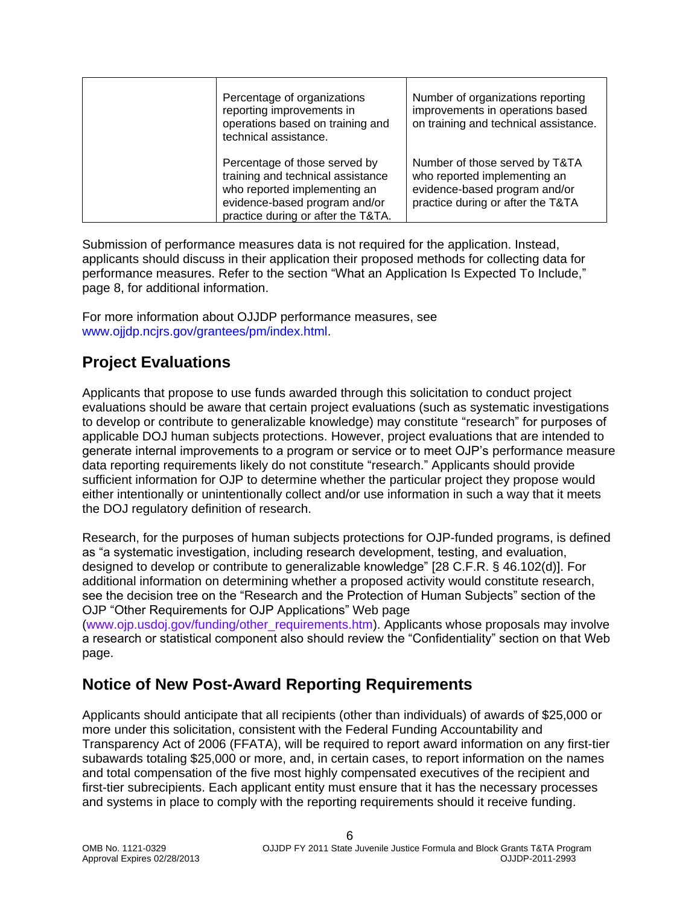| Percentage of organizations<br>reporting improvements in<br>operations based on training and<br>technical assistance.                                                     | Number of organizations reporting<br>improvements in operations based<br>on training and technical assistance.                       |
|---------------------------------------------------------------------------------------------------------------------------------------------------------------------------|--------------------------------------------------------------------------------------------------------------------------------------|
| Percentage of those served by<br>training and technical assistance<br>who reported implementing an<br>evidence-based program and/or<br>practice during or after the T&TA. | Number of those served by T&TA<br>who reported implementing an<br>evidence-based program and/or<br>practice during or after the T&TA |

Submission of performance measures data is not required for the application. Instead, applicants should discuss in their application their proposed methods for collecting data for performance measures. Refer to the section "What an Application Is Expected To Include," page 8, for additional information.

For more information about OJJDP performance measures, see [www.ojjdp.ncjrs.gov/grantees/pm/index.html.](file:///C:/Documents%20and%20Settings/callagha/Local%20Settings/Temporary%20Internet%20Files/Content.Outlook/ETFILUII/www.ojjdp.ncjrs.gov/grantees/pm/index.html)

### <span id="page-5-0"></span>**Project Evaluations**

Applicants that propose to use funds awarded through this solicitation to conduct project evaluations should be aware that certain project evaluations (such as systematic investigations to develop or contribute to generalizable knowledge) may constitute "research" for purposes of applicable DOJ human subjects protections. However, project evaluations that are intended to generate internal improvements to a program or service or to meet OJP's performance measure data reporting requirements likely do not constitute "research." Applicants should provide sufficient information for OJP to determine whether the particular project they propose would either intentionally or unintentionally collect and/or use information in such a way that it meets the DOJ regulatory definition of research.

Research, for the purposes of human subjects protections for OJP-funded programs, is defined as "a systematic investigation, including research development, testing, and evaluation, designed to develop or contribute to generalizable knowledge" [28 C.F.R. § 46.102(d)]. For additional information on determining whether a proposed activity would constitute research, see the decision tree on the "Research and the Protection of Human Subjects" section of the OJP "Other Requirements for OJP Applications" Web page

[\(www.ojp.usdoj.gov/funding/other\\_requirements.htm\)](http://www.ojp.usdoj.gov/funding/other_requirements.htm). Applicants whose proposals may involve a research or statistical component also should review the "Confidentiality" section on that Web page.

### <span id="page-5-1"></span>**Notice of New Post-Award Reporting Requirements**

Applicants should anticipate that all recipients (other than individuals) of awards of \$25,000 or more under this solicitation, consistent with the Federal Funding Accountability and Transparency Act of 2006 (FFATA), will be required to report award information on any first-tier subawards totaling \$25,000 or more, and, in certain cases, to report information on the names and total compensation of the five most highly compensated executives of the recipient and first-tier subrecipients. Each applicant entity must ensure that it has the necessary processes and systems in place to comply with the reporting requirements should it receive funding.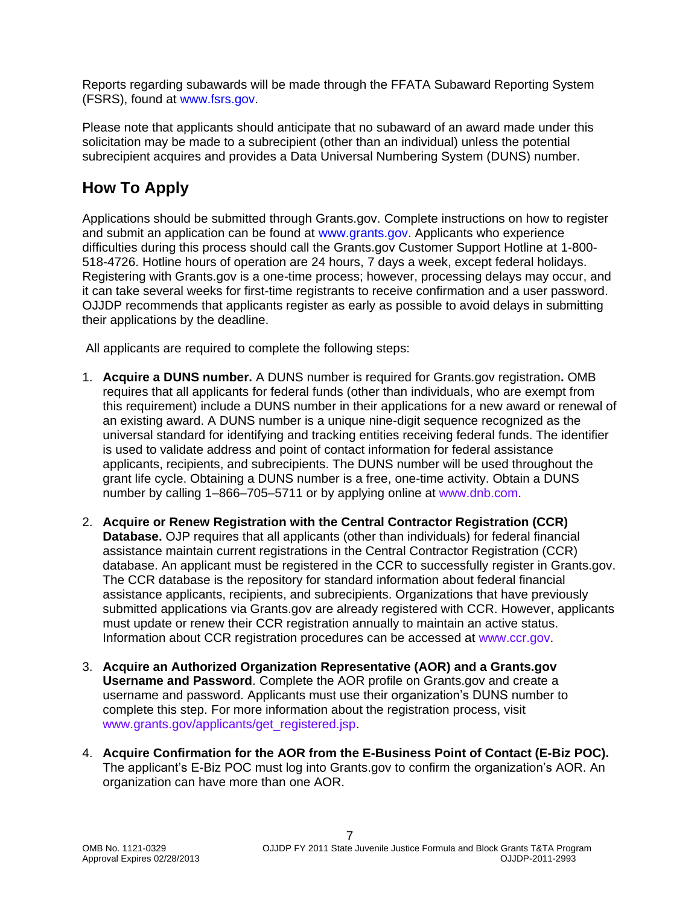Reports regarding subawards will be made through the FFATA Subaward Reporting System (FSRS), found at [www.fsrs.gov.](file:///C:/Documents%20and%20Settings/callagha/Local%20Settings/Temporary%20Internet%20Files/Content.Outlook/ETFILUII/www.fsrs.gov)

Please note that applicants should anticipate that no subaward of an award made under this solicitation may be made to a subrecipient (other than an individual) unless the potential subrecipient acquires and provides a Data Universal Numbering System (DUNS) number.

# <span id="page-6-0"></span>**How To Apply**

Applications should be submitted through Grants.gov. Complete instructions on how to register and submit an application can be found at [www.grants.gov.](http://www.grants.gov/) Applicants who experience difficulties during this process should call the Grants.gov Customer Support Hotline at 1-800- 518-4726. Hotline hours of operation are 24 hours, 7 days a week, except federal holidays. Registering with Grants.gov is a one-time process; however, processing delays may occur, and it can take several weeks for first-time registrants to receive confirmation and a user password. OJJDP recommends that applicants register as early as possible to avoid delays in submitting their applications by the deadline.

All applicants are required to complete the following steps:

- 1. **Acquire a DUNS number.** A DUNS number is required for Grants.gov registration**.** OMB requires that all applicants for federal funds (other than individuals, who are exempt from this requirement) include a DUNS number in their applications for a new award or renewal of an existing award. A DUNS number is a unique nine-digit sequence recognized as the universal standard for identifying and tracking entities receiving federal funds. The identifier is used to validate address and point of contact information for federal assistance applicants, recipients, and subrecipients. The DUNS number will be used throughout the grant life cycle. Obtaining a DUNS number is a free, one-time activity. Obtain a DUNS number by calling 1–866–705–5711 or by applying online at [www.dnb.com.](http://www.dnb.com/)
- 2. **Acquire or Renew Registration with the Central Contractor Registration (CCR) Database.** OJP requires that all applicants (other than individuals) for federal financial assistance maintain current registrations in the Central Contractor Registration (CCR) database. An applicant must be registered in the CCR to successfully register in Grants.gov. The CCR database is the repository for standard information about federal financial assistance applicants, recipients, and subrecipients. Organizations that have previously submitted applications via Grants.gov are already registered with CCR. However, applicants must update or renew their CCR registration annually to maintain an active status. Information about CCR registration procedures can be accessed at [www.ccr.gov.](http://www.ccr.gov/)
- 3. **Acquire an Authorized Organization Representative (AOR) and a Grants.gov Username and Password**. Complete the AOR profile on Grants.gov and create a username and password. Applicants must use their organization's DUNS number to complete this step. For more information about the registration process, visit [www.grants.gov/applicants/get\\_registered.jsp.](http://www.grants.gov/applicants/get_registered.jsp)
- 4. **Acquire Confirmation for the AOR from the E-Business Point of Contact (E-Biz POC).** The applicant's E-Biz POC must log into Grants.gov to confirm the organization's AOR. An organization can have more than one AOR.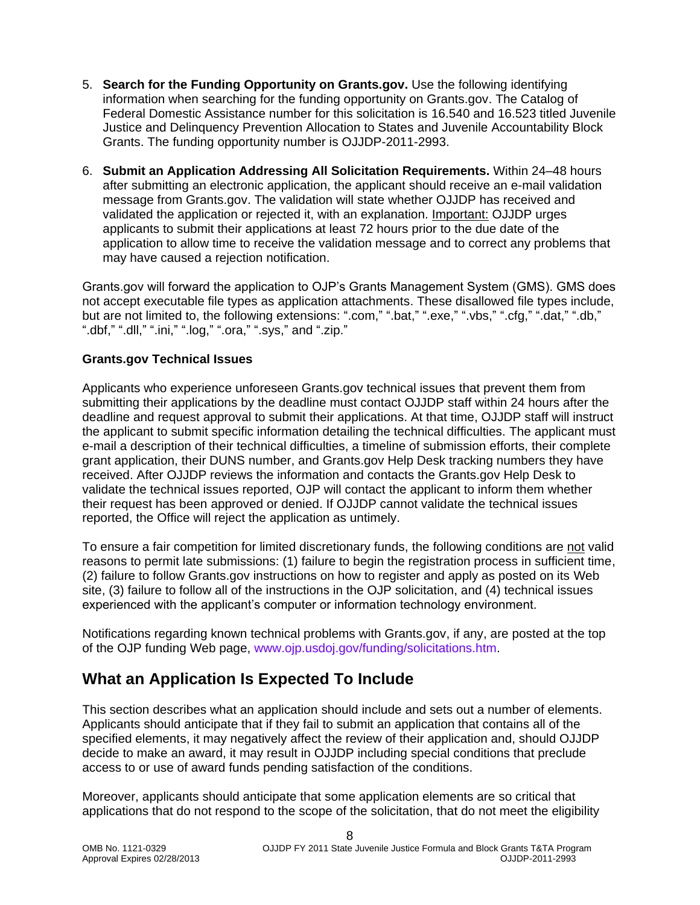- 5. **Search for the Funding Opportunity on Grants.gov.** Use the following identifying information when searching for the funding opportunity on Grants.gov. The Catalog of Federal Domestic Assistance number for this solicitation is 16.540 and 16.523 titled Juvenile Justice and Delinquency Prevention Allocation to States and Juvenile Accountability Block Grants. The funding opportunity number is OJJDP-2011-2993.
- 6. **Submit an Application Addressing All Solicitation Requirements.** Within 24–48 hours after submitting an electronic application, the applicant should receive an e-mail validation message from Grants.gov. The validation will state whether OJJDP has received and validated the application or rejected it, with an explanation. Important: OJJDP urges applicants to submit their applications at least 72 hours prior to the due date of the application to allow time to receive the validation message and to correct any problems that may have caused a rejection notification.

Grants.gov will forward the application to OJP's Grants Management System (GMS). GMS does not accept executable file types as application attachments. These disallowed file types include, but are not limited to, the following extensions: ".com," ".bat," ".exe," ".vbs," ".cfg," ".dat," ".db," ".dbf," ".dll," ".ini," ".log," ".ora," ".sys," and ".zip."

#### **Grants.gov Technical Issues**

Applicants who experience unforeseen Grants.gov technical issues that prevent them from submitting their applications by the deadline must contact OJJDP staff within 24 hours after the deadline and request approval to submit their applications. At that time, OJJDP staff will instruct the applicant to submit specific information detailing the technical difficulties. The applicant must e-mail a description of their technical difficulties, a timeline of submission efforts, their complete grant application, their DUNS number, and Grants.gov Help Desk tracking numbers they have received. After OJJDP reviews the information and contacts the Grants.gov Help Desk to validate the technical issues reported, OJP will contact the applicant to inform them whether their request has been approved or denied. If OJJDP cannot validate the technical issues reported, the Office will reject the application as untimely.

To ensure a fair competition for limited discretionary funds, the following conditions are not valid reasons to permit late submissions: (1) failure to begin the registration process in sufficient time, (2) failure to follow Grants.gov instructions on how to register and apply as posted on its Web site, (3) failure to follow all of the instructions in the OJP solicitation, and (4) technical issues experienced with the applicant's computer or information technology environment.

Notifications regarding known technical problems with Grants.gov, if any, are posted at the top of the OJP funding Web page, [www.ojp.usdoj.gov/funding/solicitations.htm.](http://www.ojp.gov/funding/solicitations.htm)

### <span id="page-7-0"></span>**What an Application Is Expected To Include**

This section describes what an application should include and sets out a number of elements. Applicants should anticipate that if they fail to submit an application that contains all of the specified elements, it may negatively affect the review of their application and, should OJJDP decide to make an award, it may result in OJJDP including special conditions that preclude access to or use of award funds pending satisfaction of the conditions.

Moreover, applicants should anticipate that some application elements are so critical that applications that do not respond to the scope of the solicitation, that do not meet the eligibility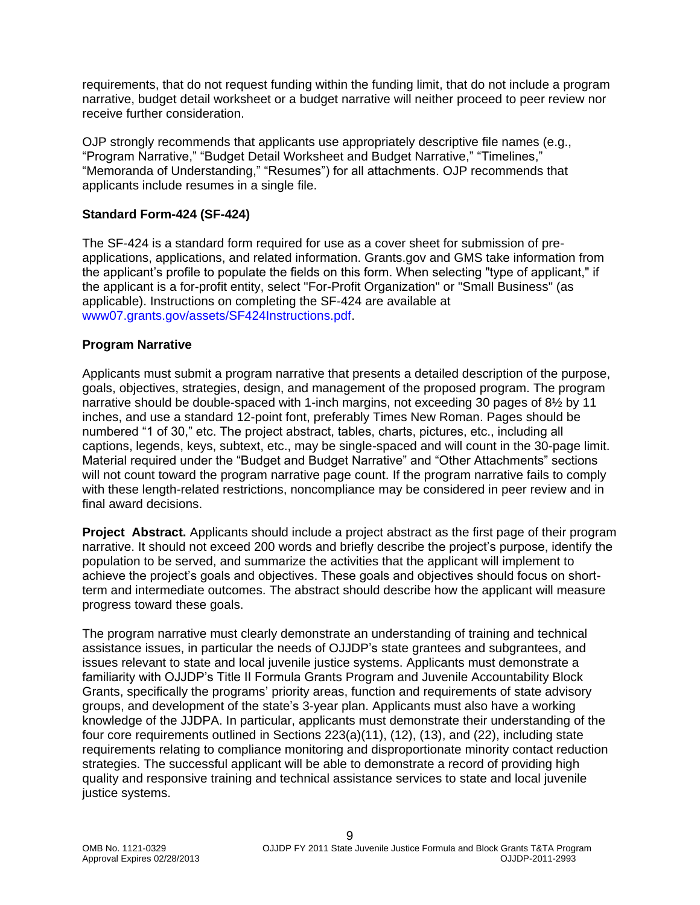requirements, that do not request funding within the funding limit, that do not include a program narrative, budget detail worksheet or a budget narrative will neither proceed to peer review nor receive further consideration.

OJP strongly recommends that applicants use appropriately descriptive file names (e.g., "Program Narrative," "Budget Detail Worksheet and Budget Narrative," "Timelines," "Memoranda of Understanding," "Resumes") for all attachments. OJP recommends that applicants include resumes in a single file.

#### <span id="page-8-0"></span>**Standard Form-424 (SF-424)**

The SF-424 is a standard form required for use as a cover sheet for submission of preapplications, applications, and related information. Grants.gov and GMS take information from the applicant's profile to populate the fields on this form. When selecting "type of applicant," if the applicant is a for-profit entity, select "For-Profit Organization" or "Small Business" (as applicable). Instructions on completing the SF-424 are available at [www07.grants.gov/assets/SF424Instructions.pdf.](http://www07.grants.gov/assets/SF424Instructions.pdf)

#### <span id="page-8-1"></span>**Program Narrative**

Applicants must submit a program narrative that presents a detailed description of the purpose, goals, objectives, strategies, design, and management of the proposed program. The program narrative should be double-spaced with 1-inch margins, not exceeding 30 pages of 8½ by 11 inches, and use a standard 12-point font, preferably Times New Roman. Pages should be numbered "1 of 30," etc. The project abstract, tables, charts, pictures, etc., including all captions, legends, keys, subtext, etc., may be single-spaced and will count in the 30-page limit. Material required under the "Budget and Budget Narrative" and "Other Attachments" sections will not count toward the program narrative page count. If the program narrative fails to comply with these length-related restrictions, noncompliance may be considered in peer review and in final award decisions.

**Project Abstract.** Applicants should include a project abstract as the first page of their program narrative. It should not exceed 200 words and briefly describe the project's purpose, identify the population to be served, and summarize the activities that the applicant will implement to achieve the project's goals and objectives. These goals and objectives should focus on shortterm and intermediate outcomes. The abstract should describe how the applicant will measure progress toward these goals.

The program narrative must clearly demonstrate an understanding of training and technical assistance issues, in particular the needs of OJJDP's state grantees and subgrantees, and issues relevant to state and local juvenile justice systems. Applicants must demonstrate a familiarity with OJJDP's Title II Formula Grants Program and Juvenile Accountability Block Grants, specifically the programs' priority areas, function and requirements of state advisory groups, and development of the state's 3-year plan. Applicants must also have a working knowledge of the JJDPA. In particular, applicants must demonstrate their understanding of the four core requirements outlined in Sections 223(a)(11), (12), (13), and (22), including state requirements relating to compliance monitoring and disproportionate minority contact reduction strategies. The successful applicant will be able to demonstrate a record of providing high quality and responsive training and technical assistance services to state and local juvenile justice systems.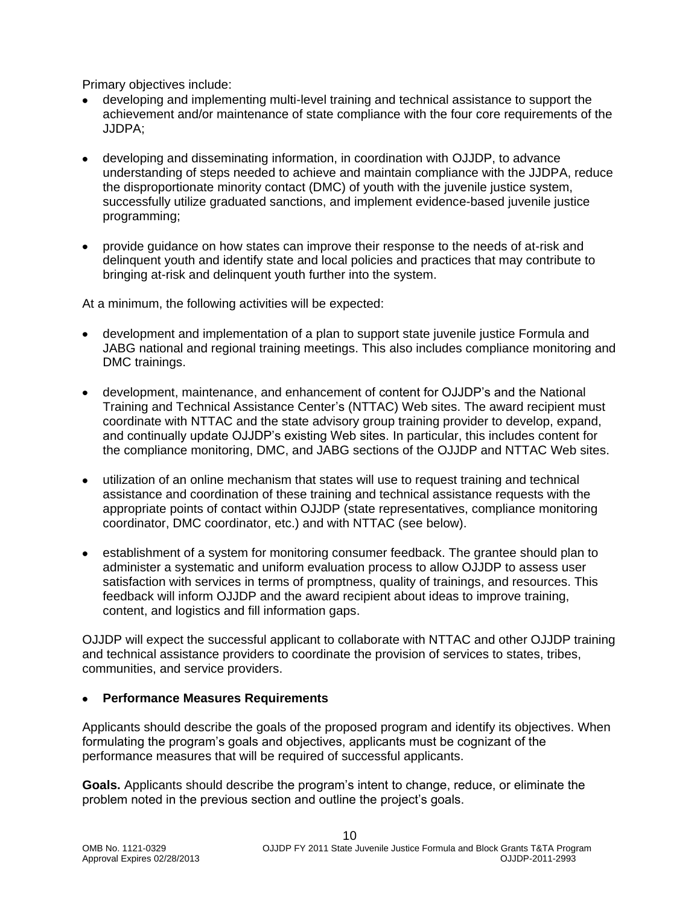Primary objectives include:

- developing and implementing multi-level training and technical assistance to support the achievement and/or maintenance of state compliance with the four core requirements of the JJDPA;
- developing and disseminating information, in coordination with OJJDP, to advance understanding of steps needed to achieve and maintain compliance with the JJDPA, reduce the disproportionate minority contact (DMC) of youth with the juvenile justice system, successfully utilize graduated sanctions, and implement evidence-based juvenile justice programming;
- provide guidance on how states can improve their response to the needs of at-risk and delinquent youth and identify state and local policies and practices that may contribute to bringing at-risk and delinquent youth further into the system.

At a minimum, the following activities will be expected:

- development and implementation of a plan to support state juvenile justice Formula and JABG national and regional training meetings. This also includes compliance monitoring and DMC trainings.
- development, maintenance, and enhancement of content for OJJDP's and the National Training and Technical Assistance Center's (NTTAC) Web sites. The award recipient must coordinate with NTTAC and the state advisory group training provider to develop, expand, and continually update OJJDP's existing Web sites. In particular, this includes content for the compliance monitoring, DMC, and JABG sections of the OJJDP and NTTAC Web sites.
- utilization of an online mechanism that states will use to request training and technical assistance and coordination of these training and technical assistance requests with the appropriate points of contact within OJJDP (state representatives, compliance monitoring coordinator, DMC coordinator, etc.) and with NTTAC (see below).
- establishment of a system for monitoring consumer feedback. The grantee should plan to administer a systematic and uniform evaluation process to allow OJJDP to assess user satisfaction with services in terms of promptness, quality of trainings, and resources. This feedback will inform OJJDP and the award recipient about ideas to improve training, content, and logistics and fill information gaps.

OJJDP will expect the successful applicant to collaborate with NTTAC and other OJJDP training and technical assistance providers to coordinate the provision of services to states, tribes, communities, and service providers.

#### **Performance Measures Requirements**

Applicants should describe the goals of the proposed program and identify its objectives. When formulating the program's goals and objectives, applicants must be cognizant of the performance measures that will be required of successful applicants.

**Goals.** Applicants should describe the program's intent to change, reduce, or eliminate the problem noted in the previous section and outline the project's goals.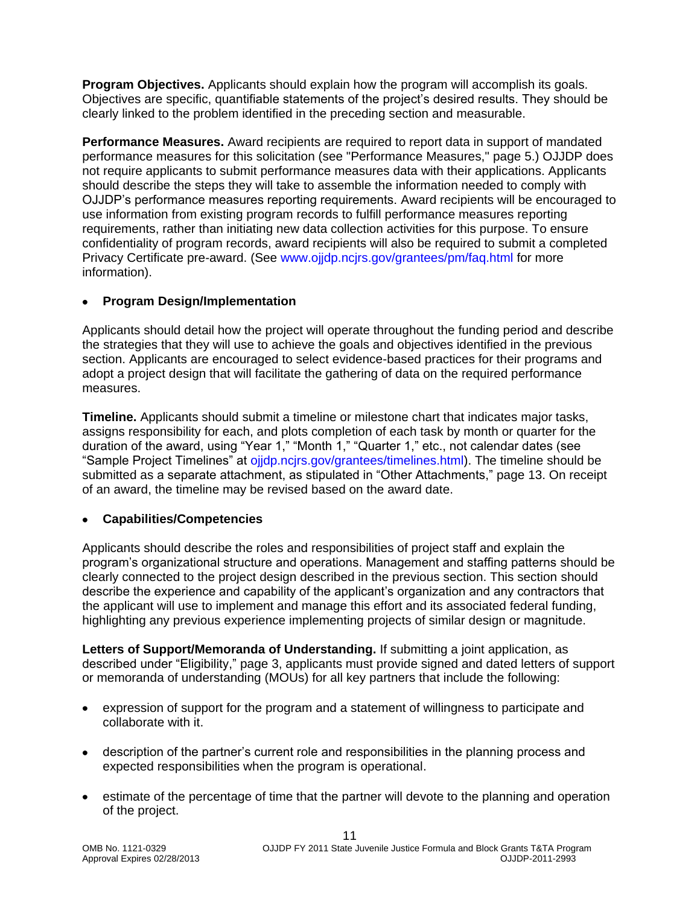**Program Objectives.** Applicants should explain how the program will accomplish its goals. Objectives are specific, quantifiable statements of the project's desired results. They should be clearly linked to the problem identified in the preceding section and measurable.

**Performance Measures.** Award recipients are required to report data in support of mandated performance measures for this solicitation (see "Performance Measures," page 5.) OJJDP does not require applicants to submit performance measures data with their applications. Applicants should describe the steps they will take to assemble the information needed to comply with OJJDP's performance measures reporting requirements. Award recipients will be encouraged to use information from existing program records to fulfill performance measures reporting requirements, rather than initiating new data collection activities for this purpose. To ensure confidentiality of program records, award recipients will also be required to submit a completed Privacy Certificate pre-award. (See [www.ojjdp.ncjrs.gov/grantees/pm/faq.html](http://www.ojjdp.ncjrs.gov/grantees/pm/faq.html) for more information).

#### **Program Design/Implementation**

Applicants should detail how the project will operate throughout the funding period and describe the strategies that they will use to achieve the goals and objectives identified in the previous section. Applicants are encouraged to select evidence-based practices for their programs and adopt a project design that will facilitate the gathering of data on the required performance measures.

**Timeline.** Applicants should submit a timeline or milestone chart that indicates major tasks, assigns responsibility for each, and plots completion of each task by month or quarter for the duration of the award, using "Year 1," "Month 1," "Quarter 1," etc., not calendar dates (see "Sample Project Timelines" at [ojjdp.ncjrs.gov/grantees/timelines.html\)](http://ojjdp.ncjrs.gov/grantees.html). The timeline should be submitted as a separate attachment, as stipulated in "Other Attachments," page 13. On receipt of an award, the timeline may be revised based on the award date.

#### **Capabilities/Competencies**

Applicants should describe the roles and responsibilities of project staff and explain the program's organizational structure and operations. Management and staffing patterns should be clearly connected to the project design described in the previous section. This section should describe the experience and capability of the applicant's organization and any contractors that the applicant will use to implement and manage this effort and its associated federal funding, highlighting any previous experience implementing projects of similar design or magnitude.

**Letters of Support/Memoranda of Understanding.** If submitting a joint application, as described under "Eligibility," page 3, applicants must provide signed and dated letters of support or memoranda of understanding (MOUs) for all key partners that include the following:

- expression of support for the program and a statement of willingness to participate and collaborate with it.
- description of the partner's current role and responsibilities in the planning process and expected responsibilities when the program is operational.
- estimate of the percentage of time that the partner will devote to the planning and operation of the project.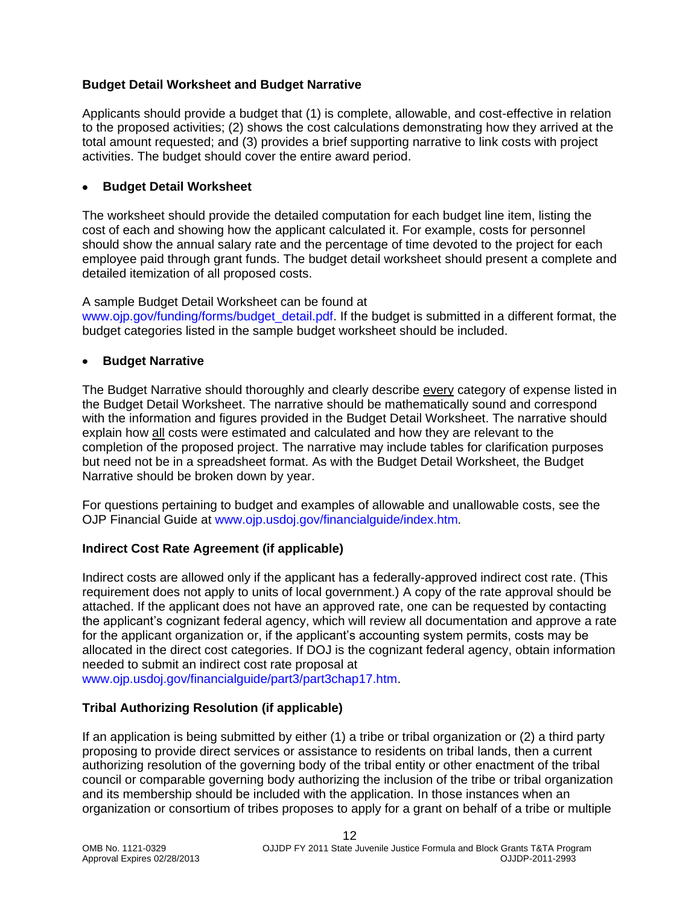#### <span id="page-11-0"></span>**Budget Detail Worksheet and Budget Narrative**

Applicants should provide a budget that (1) is complete, allowable, and cost-effective in relation to the proposed activities; (2) shows the cost calculations demonstrating how they arrived at the total amount requested; and (3) provides a brief supporting narrative to link costs with project activities. The budget should cover the entire award period.

#### **Budget Detail Worksheet**

The worksheet should provide the detailed computation for each budget line item, listing the cost of each and showing how the applicant calculated it. For example, costs for personnel should show the annual salary rate and the percentage of time devoted to the project for each employee paid through grant funds. The budget detail worksheet should present a complete and detailed itemization of all proposed costs.

#### A sample Budget Detail Worksheet can be found at

[www.ojp.gov/funding/forms/budget\\_detail.pdf.](http://www.ojp.gov/funding/forms/budget_detail.pdf) If the budget is submitted in a different format, the budget categories listed in the sample budget worksheet should be included.

#### **Budget Narrative**

The Budget Narrative should thoroughly and clearly describe every category of expense listed in the Budget Detail Worksheet. The narrative should be mathematically sound and correspond with the information and figures provided in the Budget Detail Worksheet. The narrative should explain how all costs were estimated and calculated and how they are relevant to the completion of the proposed project. The narrative may include tables for clarification purposes but need not be in a spreadsheet format. As with the Budget Detail Worksheet, the Budget Narrative should be broken down by year.

For questions pertaining to budget and examples of allowable and unallowable costs, see the OJP Financial Guide at [www.ojp.usdoj.gov/financialguide/index.htm](http://www.ojp.usdoj.gov/financialguide/index.htm)*.*

#### <span id="page-11-1"></span>**Indirect Cost Rate Agreement (if applicable)**

Indirect costs are allowed only if the applicant has a federally-approved indirect cost rate. (This requirement does not apply to units of local government.) A copy of the rate approval should be attached. If the applicant does not have an approved rate, one can be requested by contacting the applicant's cognizant federal agency, which will review all documentation and approve a rate for the applicant organization or, if the applicant's accounting system permits, costs may be allocated in the direct cost categories. If DOJ is the cognizant federal agency, obtain information needed to submit an indirect cost rate proposal at

[www.ojp.usdoj.gov/financialguide/part3/part3chap17.htm.](http://www.ojp.usdoj.gov/financialguide/part3/part3chap17.htm)

#### <span id="page-11-2"></span>**Tribal Authorizing Resolution (if applicable)**

If an application is being submitted by either (1) a tribe or tribal organization or (2) a third party proposing to provide direct services or assistance to residents on tribal lands, then a current authorizing resolution of the governing body of the tribal entity or other enactment of the tribal council or comparable governing body authorizing the inclusion of the tribe or tribal organization and its membership should be included with the application. In those instances when an organization or consortium of tribes proposes to apply for a grant on behalf of a tribe or multiple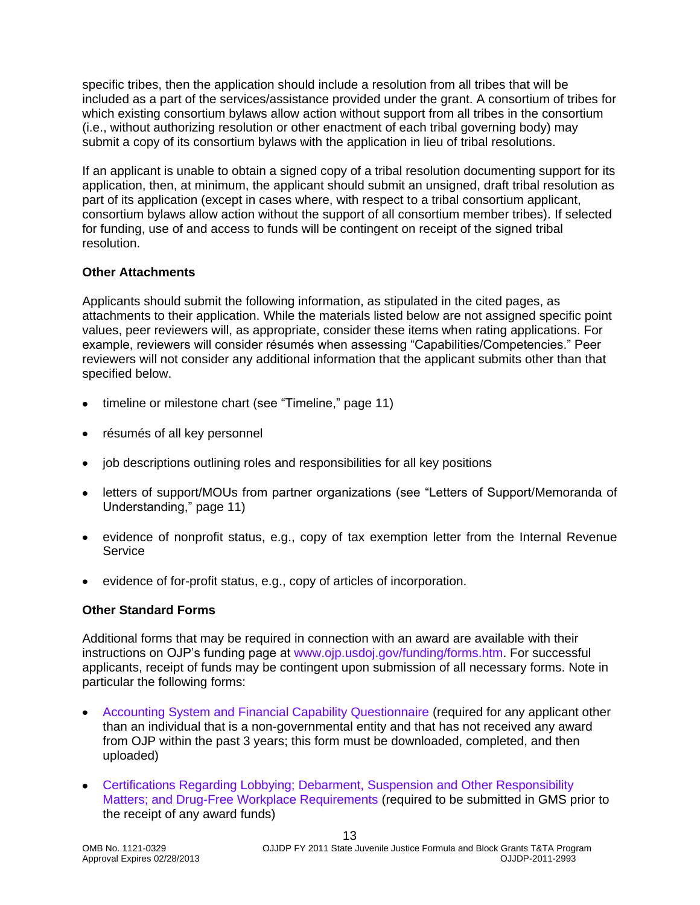specific tribes, then the application should include a resolution from all tribes that will be included as a part of the services/assistance provided under the grant. A consortium of tribes for which existing consortium bylaws allow action without support from all tribes in the consortium (i.e., without authorizing resolution or other enactment of each tribal governing body) may submit a copy of its consortium bylaws with the application in lieu of tribal resolutions.

If an applicant is unable to obtain a signed copy of a tribal resolution documenting support for its application, then, at minimum, the applicant should submit an unsigned, draft tribal resolution as part of its application (except in cases where, with respect to a tribal consortium applicant, consortium bylaws allow action without the support of all consortium member tribes). If selected for funding, use of and access to funds will be contingent on receipt of the signed tribal resolution.

#### <span id="page-12-0"></span>**Other Attachments**

Applicants should submit the following information, as stipulated in the cited pages, as attachments to their application. While the materials listed below are not assigned specific point values, peer reviewers will, as appropriate, consider these items when rating applications. For example, reviewers will consider résumés when assessing "Capabilities/Competencies." Peer reviewers will not consider any additional information that the applicant submits other than that specified below.

- timeline or milestone chart (see "Timeline," page 11)
- résumés of all key personnel
- job descriptions outlining roles and responsibilities for all key positions
- letters of support/MOUs from partner organizations (see "Letters of Support/Memoranda of Understanding," page 11)
- evidence of nonprofit status, e.g., copy of tax exemption letter from the Internal Revenue **Service**
- <span id="page-12-1"></span>evidence of for-profit status, e.g., copy of articles of incorporation.

#### **Other Standard Forms**

Additional forms that may be required in connection with an award are available with their instructions on OJP's funding page at [www.ojp.usdoj.gov/funding/forms.htm.](http://www.ojp.usdoj.gov/funding/forms.htm) For successful applicants, receipt of funds may be contingent upon submission of all necessary forms. Note in particular the following forms:

- [Accounting System and Financial Capability Questionnaire](http://www.ojp.usdoj.gov/funding/forms/financial_capability.pdf) (required for any applicant other than an individual that is a non-governmental entity and that has not received any award from OJP within the past 3 years; this form must be downloaded, completed, and then uploaded)
- [Certifications Regarding Lobbying; Debarment, Suspension and Other Responsibility](http://www.ojp.usdoj.gov/funding/forms/certifications.pdf)  [Matters; and Drug-Free Workplace Requirements](http://www.ojp.usdoj.gov/funding/forms/certifications.pdf) (required to be submitted in GMS prior to the receipt of any award funds)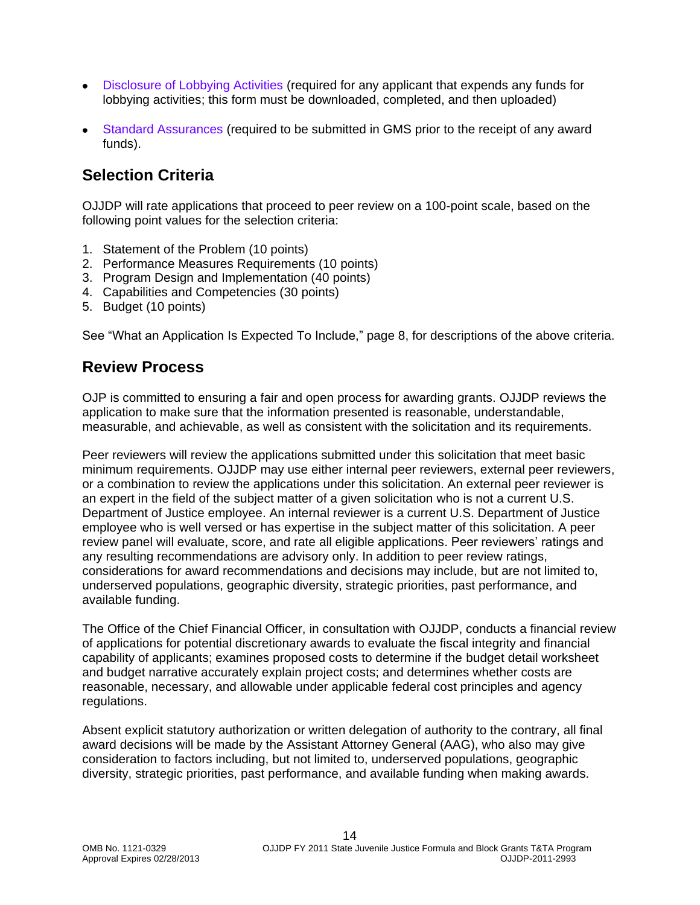- [Disclosure of Lobbying Activities](http://www.ojp.usdoj.gov/funding/forms/disclosure.pdf) (required for any applicant that expends any funds for lobbying activities; this form must be downloaded, completed, and then uploaded)
- [Standard Assurances](http://www.ojp.usdoj.gov/funding/forms/std_assurances.pdf) (required to be submitted in GMS prior to the receipt of any award funds).

# <span id="page-13-0"></span>**Selection Criteria**

OJJDP will rate applications that proceed to peer review on a 100-point scale, based on the following point values for the selection criteria:

- 1. Statement of the Problem (10 points)
- 2. Performance Measures Requirements (10 points)
- 3. Program Design and Implementation (40 points)
- 4. Capabilities and Competencies (30 points)
- 5. Budget (10 points)

See "What an Application Is Expected To Include," page 8, for descriptions of the above criteria.

### <span id="page-13-1"></span>**Review Process**

OJP is committed to ensuring a fair and open process for awarding grants. OJJDP reviews the application to make sure that the information presented is reasonable, understandable, measurable, and achievable, as well as consistent with the solicitation and its requirements.

Peer reviewers will review the applications submitted under this solicitation that meet basic minimum requirements. OJJDP may use either internal peer reviewers, external peer reviewers, or a combination to review the applications under this solicitation. An external peer reviewer is an expert in the field of the subject matter of a given solicitation who is not a current U.S. Department of Justice employee. An internal reviewer is a current U.S. Department of Justice employee who is well versed or has expertise in the subject matter of this solicitation. A peer review panel will evaluate, score, and rate all eligible applications. Peer reviewers' ratings and any resulting recommendations are advisory only. In addition to peer review ratings, considerations for award recommendations and decisions may include, but are not limited to, underserved populations, geographic diversity, strategic priorities, past performance, and available funding.

The Office of the Chief Financial Officer, in consultation with OJJDP, conducts a financial review of applications for potential discretionary awards to evaluate the fiscal integrity and financial capability of applicants; examines proposed costs to determine if the budget detail worksheet and budget narrative accurately explain project costs; and determines whether costs are reasonable, necessary, and allowable under applicable federal cost principles and agency regulations.

<span id="page-13-2"></span>Absent explicit statutory authorization or written delegation of authority to the contrary, all final award decisions will be made by the Assistant Attorney General (AAG), who also may give consideration to factors including, but not limited to, underserved populations, geographic diversity, strategic priorities, past performance, and available funding when making awards.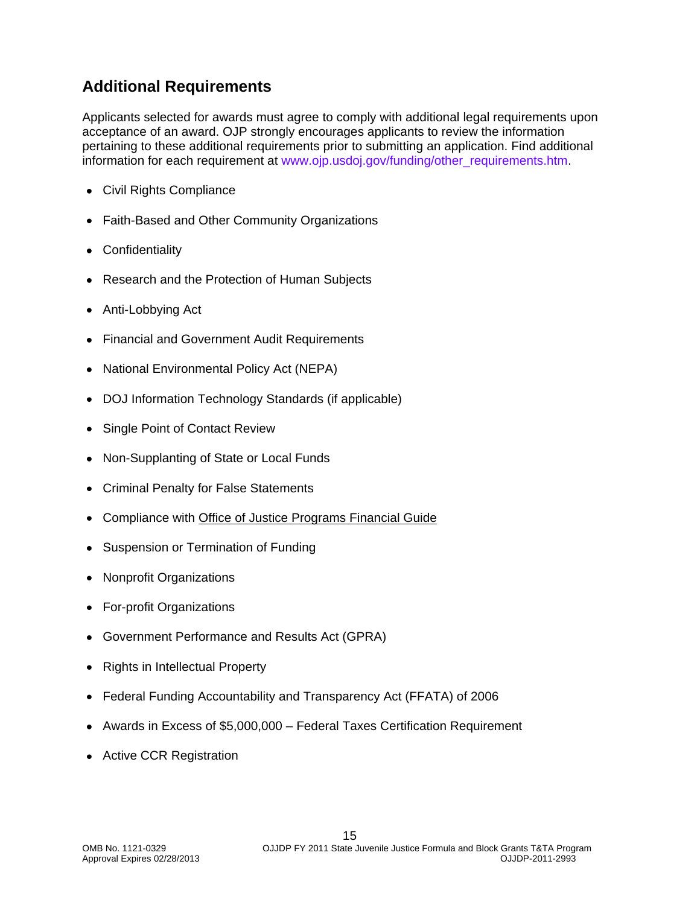# **Additional Requirements**

Applicants selected for awards must agree to comply with additional legal requirements upon acceptance of an award. OJP strongly encourages applicants to review the information pertaining to these additional requirements prior to submitting an application. Find additional information for each requirement at [www.ojp.usdoj.gov/funding/other\\_requirements.htm.](http://www.ojp.usdoj.gov/funding/other_requirements.htm)

- Civil [Rights Compliance](http://www.ojp.usdoj.gov/about/ocr/statutes.htm)
- Faith-Based and Other Community Organizations
- Confidentiality  $\bullet$
- Research and the Protection of Human Subjects
- Anti-Lobbying Act
- Financial and Government Audit Requirements
- National Environmental Policy Act (NEPA)
- DOJ Information Technology Standards (if applicable)
- Single Point of Contact Review
- Non-Supplanting of State or Local Funds  $\bullet$
- Criminal Penalty for False Statements
- Compliance with [Office of Justice Programs Financial Guide](http://www.ojp.usdoj.gov/financialguide/index.htm)
- Suspension or Termination of Funding
- Nonprofit Organizations
- For-profit Organizations
- Government Performance and Results Act (GPRA)
- Rights in Intellectual Property
- Federal Funding Accountability and Transparency Act (FFATA) of 2006
- Awards in Excess of \$5,000,000 Federal Taxes Certification Requirement
- Active CCR Registration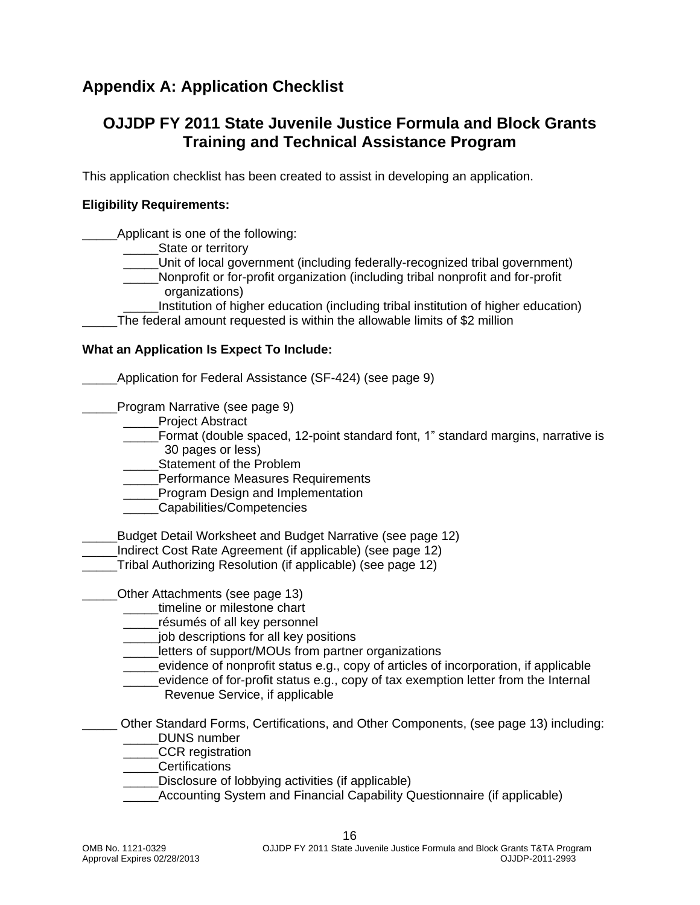## <span id="page-15-0"></span>**Appendix A: Application Checklist**

### **OJJDP FY 2011 State Juvenile Justice Formula and Block Grants Training and Technical Assistance Program**

This application checklist has been created to assist in developing an application.

#### **Eligibility Requirements:**

Applicant is one of the following:

- State or territory
	- \_\_\_\_\_Unit of local government (including federally-recognized tribal government)
		- \_\_\_\_\_Nonprofit or for-profit organization (including tribal nonprofit and for-profit organizations)
	- Institution of higher education (including tribal institution of higher education)
- The federal amount requested is within the allowable limits of \$2 million

#### **What an Application Is Expect To Include:**

Application for Federal Assistance (SF-424) (see page 9)

Program Narrative (see page 9)

- Project Abstract
- \_\_\_\_\_Format (double spaced, 12-point standard font, 1" standard margins, narrative is 30 pages or less)
- Statement of the Problem
- \_\_\_\_\_Performance Measures Requirements
- \_\_\_\_\_Program Design and Implementation
- \_\_\_\_\_Capabilities/Competencies
- Budget Detail Worksheet and Budget Narrative (see page 12)
- Indirect Cost Rate Agreement (if applicable) (see page 12)
- \_\_\_\_\_Tribal Authorizing Resolution (if applicable) (see page 12)
- Other Attachments (see page 13)
	- timeline or milestone chart
	- \_\_\_\_\_résumés of all key personnel
	- iob descriptions for all key positions
	- letters of support/MOUs from partner organizations
	- evidence of nonprofit status e.g., copy of articles of incorporation, if applicable
	- evidence of for-profit status e.g., copy of tax exemption letter from the Internal Revenue Service, if applicable
- <span id="page-15-1"></span>\_\_\_\_\_ Other Standard Forms, Certifications, and Other Components, (see page 13) including:
	- DUNS number
	- \_\_\_\_\_CCR registration \_\_\_\_\_Certifications
	- Disclosure of lobbying activities (if applicable)
	- \_\_\_\_\_Accounting System and Financial Capability Questionnaire (if applicable)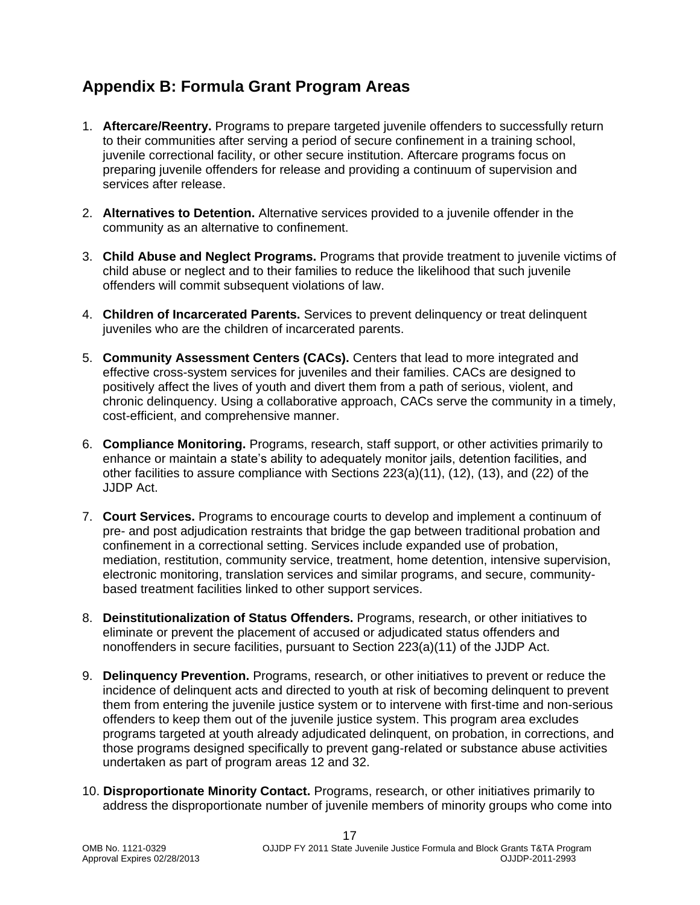## **Appendix B: Formula Grant Program Areas**

- 1. **Aftercare/Reentry.** Programs to prepare targeted juvenile offenders to successfully return to their communities after serving a period of secure confinement in a training school, juvenile correctional facility, or other secure institution. Aftercare programs focus on preparing juvenile offenders for release and providing a continuum of supervision and services after release.
- 2. **Alternatives to Detention.** Alternative services provided to a juvenile offender in the community as an alternative to confinement.
- 3. **Child Abuse and Neglect Programs.** Programs that provide treatment to juvenile victims of child abuse or neglect and to their families to reduce the likelihood that such juvenile offenders will commit subsequent violations of law.
- 4. **Children of Incarcerated Parents.** Services to prevent delinquency or treat delinquent juveniles who are the children of incarcerated parents.
- 5. **Community Assessment Centers (CACs).** Centers that lead to more integrated and effective cross-system services for juveniles and their families. CACs are designed to positively affect the lives of youth and divert them from a path of serious, violent, and chronic delinquency. Using a collaborative approach, CACs serve the community in a timely, cost-efficient, and comprehensive manner.
- 6. **Compliance Monitoring.** Programs, research, staff support, or other activities primarily to enhance or maintain a state's ability to adequately monitor jails, detention facilities, and other facilities to assure compliance with Sections 223(a)(11), (12), (13), and (22) of the JJDP Act.
- 7. **Court Services.** Programs to encourage courts to develop and implement a continuum of pre- and post adjudication restraints that bridge the gap between traditional probation and confinement in a correctional setting. Services include expanded use of probation, mediation, restitution, community service, treatment, home detention, intensive supervision, electronic monitoring, translation services and similar programs, and secure, communitybased treatment facilities linked to other support services.
- 8. **Deinstitutionalization of Status Offenders.** Programs, research, or other initiatives to eliminate or prevent the placement of accused or adjudicated status offenders and nonoffenders in secure facilities, pursuant to Section 223(a)(11) of the JJDP Act.
- 9. **Delinquency Prevention.** Programs, research, or other initiatives to prevent or reduce the incidence of delinquent acts and directed to youth at risk of becoming delinquent to prevent them from entering the juvenile justice system or to intervene with first-time and non-serious offenders to keep them out of the juvenile justice system. This program area excludes programs targeted at youth already adjudicated delinquent, on probation, in corrections, and those programs designed specifically to prevent gang-related or substance abuse activities undertaken as part of program areas 12 and 32.
- 10. **Disproportionate Minority Contact.** Programs, research, or other initiatives primarily to address the disproportionate number of juvenile members of minority groups who come into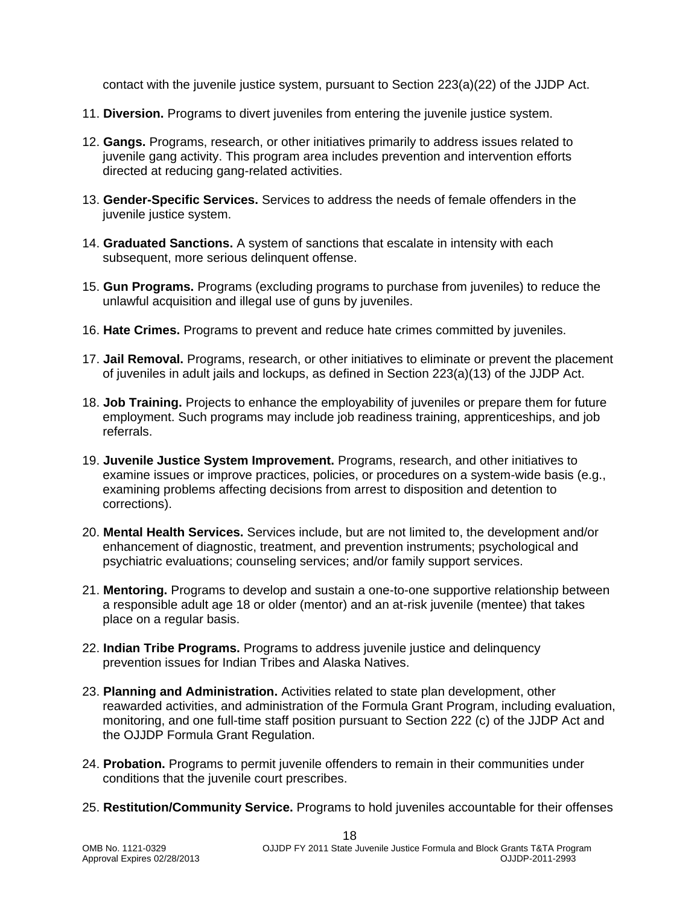contact with the juvenile justice system, pursuant to Section 223(a)(22) of the JJDP Act.

- 11. **Diversion.** Programs to divert juveniles from entering the juvenile justice system.
- 12. **Gangs.** Programs, research, or other initiatives primarily to address issues related to juvenile gang activity. This program area includes prevention and intervention efforts directed at reducing gang-related activities.
- 13. **Gender-Specific Services.** Services to address the needs of female offenders in the juvenile justice system.
- 14. **Graduated Sanctions.** A system of sanctions that escalate in intensity with each subsequent, more serious delinquent offense.
- 15. **Gun Programs.** Programs (excluding programs to purchase from juveniles) to reduce the unlawful acquisition and illegal use of guns by juveniles.
- 16. **Hate Crimes.** Programs to prevent and reduce hate crimes committed by juveniles.
- 17. **Jail Removal.** Programs, research, or other initiatives to eliminate or prevent the placement of juveniles in adult jails and lockups, as defined in Section 223(a)(13) of the JJDP Act.
- 18. **Job Training.** Projects to enhance the employability of juveniles or prepare them for future employment. Such programs may include job readiness training, apprenticeships, and job referrals.
- 19. **Juvenile Justice System Improvement.** Programs, research, and other initiatives to examine issues or improve practices, policies, or procedures on a system-wide basis (e.g., examining problems affecting decisions from arrest to disposition and detention to corrections).
- 20. **Mental Health Services.** Services include, but are not limited to, the development and/or enhancement of diagnostic, treatment, and prevention instruments; psychological and psychiatric evaluations; counseling services; and/or family support services.
- 21. **Mentoring.** Programs to develop and sustain a one-to-one supportive relationship between a responsible adult age 18 or older (mentor) and an at-risk juvenile (mentee) that takes place on a regular basis.
- 22. **Indian Tribe Programs.** Programs to address juvenile justice and delinquency prevention issues for Indian Tribes and Alaska Natives.
- 23. **Planning and Administration.** Activities related to state plan development, other reawarded activities, and administration of the Formula Grant Program, including evaluation, monitoring, and one full-time staff position pursuant to Section 222 (c) of the JJDP Act and the OJJDP Formula Grant Regulation.
- 24. **Probation.** Programs to permit juvenile offenders to remain in their communities under conditions that the juvenile court prescribes.
- 25. **Restitution/Community Service.** Programs to hold juveniles accountable for their offenses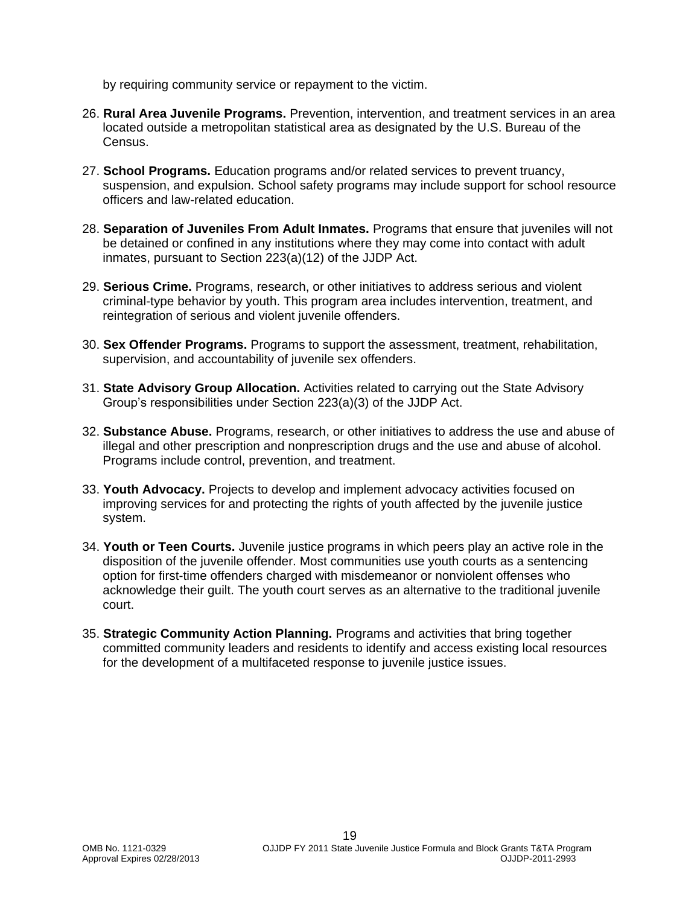by requiring community service or repayment to the victim.

- 26. **Rural Area Juvenile Programs.** Prevention, intervention, and treatment services in an area located outside a metropolitan statistical area as designated by the U.S. Bureau of the Census.
- 27. **School Programs.** Education programs and/or related services to prevent truancy, suspension, and expulsion. School safety programs may include support for school resource officers and law-related education.
- 28. **Separation of Juveniles From Adult Inmates.** Programs that ensure that juveniles will not be detained or confined in any institutions where they may come into contact with adult inmates, pursuant to Section 223(a)(12) of the JJDP Act.
- 29. **Serious Crime.** Programs, research, or other initiatives to address serious and violent criminal-type behavior by youth. This program area includes intervention, treatment, and reintegration of serious and violent juvenile offenders.
- 30. **Sex Offender Programs.** Programs to support the assessment, treatment, rehabilitation, supervision, and accountability of juvenile sex offenders.
- 31. **State Advisory Group Allocation.** Activities related to carrying out the State Advisory Group's responsibilities under Section 223(a)(3) of the JJDP Act.
- 32. **Substance Abuse.** Programs, research, or other initiatives to address the use and abuse of illegal and other prescription and nonprescription drugs and the use and abuse of alcohol. Programs include control, prevention, and treatment.
- 33. **Youth Advocacy.** Projects to develop and implement advocacy activities focused on improving services for and protecting the rights of youth affected by the juvenile justice system.
- 34. **Youth or Teen Courts.** Juvenile justice programs in which peers play an active role in the disposition of the juvenile offender. Most communities use youth courts as a sentencing option for first-time offenders charged with misdemeanor or nonviolent offenses who acknowledge their guilt. The youth court serves as an alternative to the traditional juvenile court.
- 35. **Strategic Community Action Planning.** Programs and activities that bring together committed community leaders and residents to identify and access existing local resources for the development of a multifaceted response to juvenile justice issues.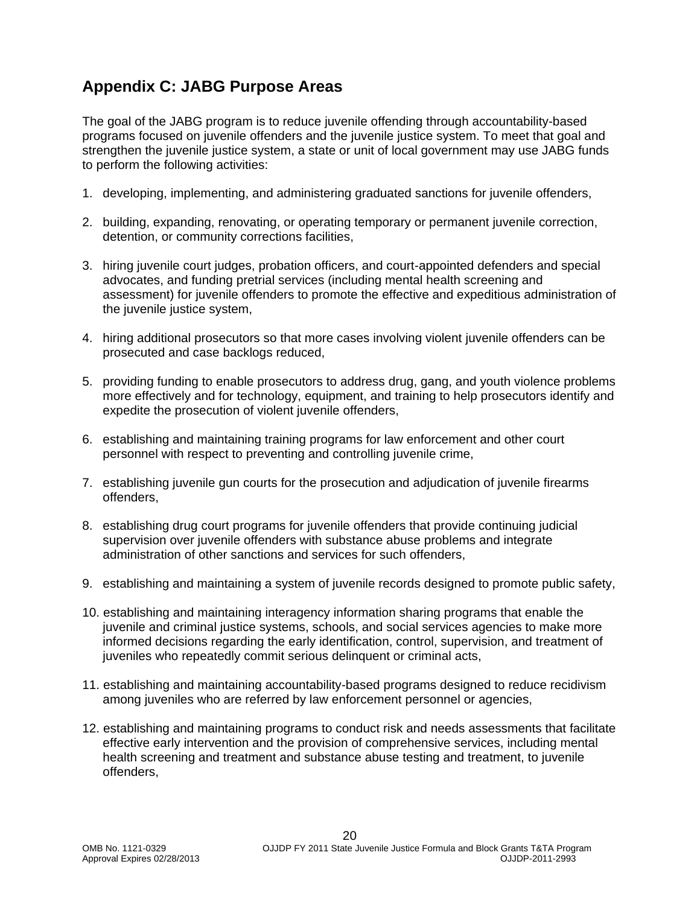# <span id="page-19-0"></span>**Appendix C: JABG Purpose Areas**

The goal of the JABG program is to reduce juvenile offending through accountability-based programs focused on juvenile offenders and the juvenile justice system. To meet that goal and strengthen the juvenile justice system, a state or unit of local government may use JABG funds to perform the following activities:

- 1. developing, implementing, and administering graduated sanctions for juvenile offenders,
- 2. building, expanding, renovating, or operating temporary or permanent juvenile correction, detention, or community corrections facilities,
- 3. hiring juvenile court judges, probation officers, and court-appointed defenders and special advocates, and funding pretrial services (including mental health screening and assessment) for juvenile offenders to promote the effective and expeditious administration of the juvenile justice system.
- 4. hiring additional prosecutors so that more cases involving violent juvenile offenders can be prosecuted and case backlogs reduced,
- 5. providing funding to enable prosecutors to address drug, gang, and youth violence problems more effectively and for technology, equipment, and training to help prosecutors identify and expedite the prosecution of violent juvenile offenders,
- 6. establishing and maintaining training programs for law enforcement and other court personnel with respect to preventing and controlling juvenile crime,
- 7. establishing juvenile gun courts for the prosecution and adjudication of juvenile firearms offenders,
- 8. establishing drug court programs for juvenile offenders that provide continuing judicial supervision over juvenile offenders with substance abuse problems and integrate administration of other sanctions and services for such offenders,
- 9. establishing and maintaining a system of juvenile records designed to promote public safety,
- 10. establishing and maintaining interagency information sharing programs that enable the juvenile and criminal justice systems, schools, and social services agencies to make more informed decisions regarding the early identification, control, supervision, and treatment of juveniles who repeatedly commit serious delinquent or criminal acts,
- 11. establishing and maintaining accountability-based programs designed to reduce recidivism among juveniles who are referred by law enforcement personnel or agencies,
- 12. establishing and maintaining programs to conduct risk and needs assessments that facilitate effective early intervention and the provision of comprehensive services, including mental health screening and treatment and substance abuse testing and treatment, to juvenile offenders,